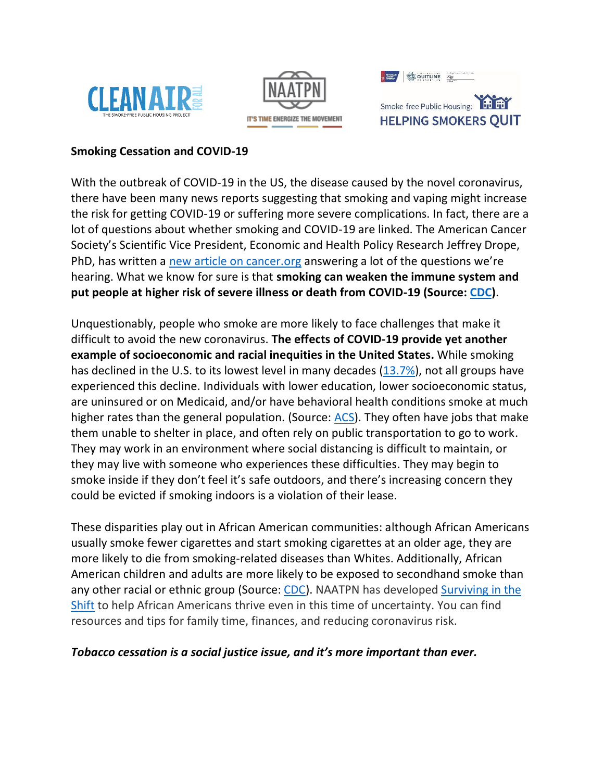| <b>紫 QUITLINE</b> | Ending Council calculation |
|-------------------|----------------------------|
|                   |                            |





Smoke-free Public Housing: **HELPING SMOKERS QUIT** 

# **Smoking Cessation and COVID-19**

With the outbreak of COVID-19 in the US, the disease caused by the novel coronavirus, there have been many news reports suggesting that smoking and vaping might increase the risk for getting COVID-19 or suffering more severe complications. In fact, there are a lot of questions about whether smoking and COVID-19 are linked. The American Cancer Society's Scientific Vice President, Economic and Health Policy Research Jeffrey Drope, PhD, has written a new article on cancer.org answering a lot of the questions we're hearing. What we know for sure is that **smoking can weaken the immune system and put people at higher risk of severe illness or death from COVID-19 (Source: CDC)**.

Unquestionably, people who smoke are more likely to face challenges that make it difficult to avoid the new coronavirus. **The effects of COVID-19 provide yet another example of socioeconomic and racial inequities in the United States.** While smoking has declined in the U.S. to its lowest level in many decades (13.7%), not all groups have experienced this decline. Individuals with lower education, lower socioeconomic status, are uninsured or on Medicaid, and/or have behavioral health conditions smoke at much higher rates than the general population. (Source: ACS). They often have jobs that make them unable to shelter in place, and often rely on public transportation to go to work. They may work in an environment where social distancing is difficult to maintain, or they may live with someone who experiences these difficulties. They may begin to smoke inside if they don't feel it's safe outdoors, and there's increasing concern they could be evicted if smoking indoors is a violation of their lease.

These disparities play out in African American communities: although African Americans usually smoke fewer cigarettes and start smoking cigarettes at an older age, they are more likely to die from smoking-related diseases than Whites. Additionally, African American children and adults are more likely to be exposed to secondhand smoke than any other racial or ethnic group (Source: CDC). NAATPN has developed Surviving in the Shift to help African Americans thrive even in this time of uncertainty. You can find resources and tips for family time, finances, and reducing coronavirus risk.

## *Tobacco cessation is a social justice issue, and it's more important than ever.*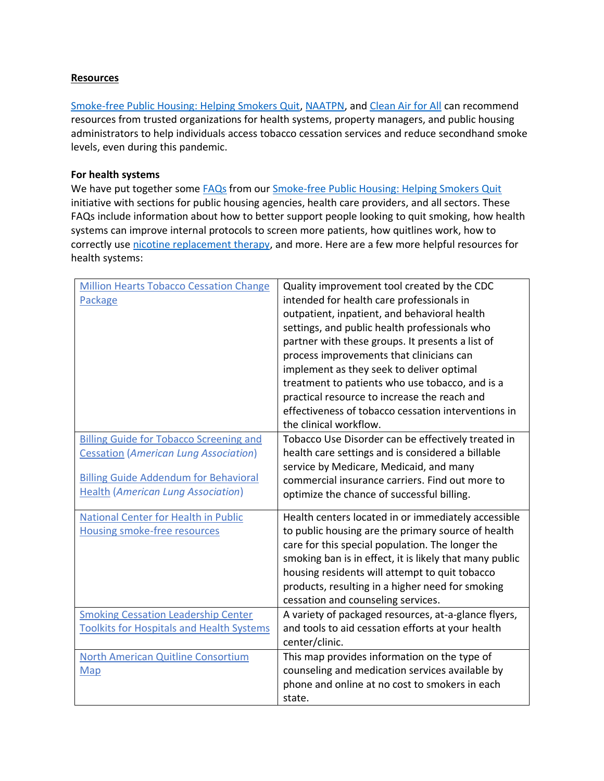## **Resources**

Smoke-free Public Housing: Helping Smokers Quit, NAATPN, and Clean Air for All can recommend resources from trusted organizations for health systems, property managers, and public housing administrators to help individuals access tobacco cessation services and reduce secondhand smoke levels, even during this pandemic.

## **For health systems**

We have put together some FAQs from our Smoke-free Public Housing: Helping Smokers Quit initiative with sections for public housing agencies, health care providers, and all sectors. These FAQs include information about how to better support people looking to quit smoking, how health systems can improve internal protocols to screen more patients, how quitlines work, how to correctly use nicotine replacement therapy, and more. Here are a few more helpful resources for health systems:

| <b>Million Hearts Tobacco Cessation Change</b>   | Quality improvement tool created by the CDC             |
|--------------------------------------------------|---------------------------------------------------------|
| Package                                          | intended for health care professionals in               |
|                                                  | outpatient, inpatient, and behavioral health            |
|                                                  | settings, and public health professionals who           |
|                                                  | partner with these groups. It presents a list of        |
|                                                  | process improvements that clinicians can                |
|                                                  | implement as they seek to deliver optimal               |
|                                                  | treatment to patients who use tobacco, and is a         |
|                                                  | practical resource to increase the reach and            |
|                                                  | effectiveness of tobacco cessation interventions in     |
|                                                  | the clinical workflow.                                  |
| <b>Billing Guide for Tobacco Screening and</b>   | Tobacco Use Disorder can be effectively treated in      |
| <b>Cessation (American Lung Association)</b>     | health care settings and is considered a billable       |
|                                                  | service by Medicare, Medicaid, and many                 |
| <b>Billing Guide Addendum for Behavioral</b>     | commercial insurance carriers. Find out more to         |
| <b>Health (American Lung Association)</b>        | optimize the chance of successful billing.              |
| National Center for Health in Public             | Health centers located in or immediately accessible     |
| <b>Housing smoke-free resources</b>              | to public housing are the primary source of health      |
|                                                  | care for this special population. The longer the        |
|                                                  | smoking ban is in effect, it is likely that many public |
|                                                  | housing residents will attempt to quit tobacco          |
|                                                  | products, resulting in a higher need for smoking        |
|                                                  | cessation and counseling services.                      |
| <b>Smoking Cessation Leadership Center</b>       | A variety of packaged resources, at-a-glance flyers,    |
| <b>Toolkits for Hospitals and Health Systems</b> | and tools to aid cessation efforts at your health       |
|                                                  | center/clinic.                                          |
| North American Quitline Consortium               | This map provides information on the type of            |
| Map                                              | counseling and medication services available by         |
|                                                  | phone and online at no cost to smokers in each          |
|                                                  | state.                                                  |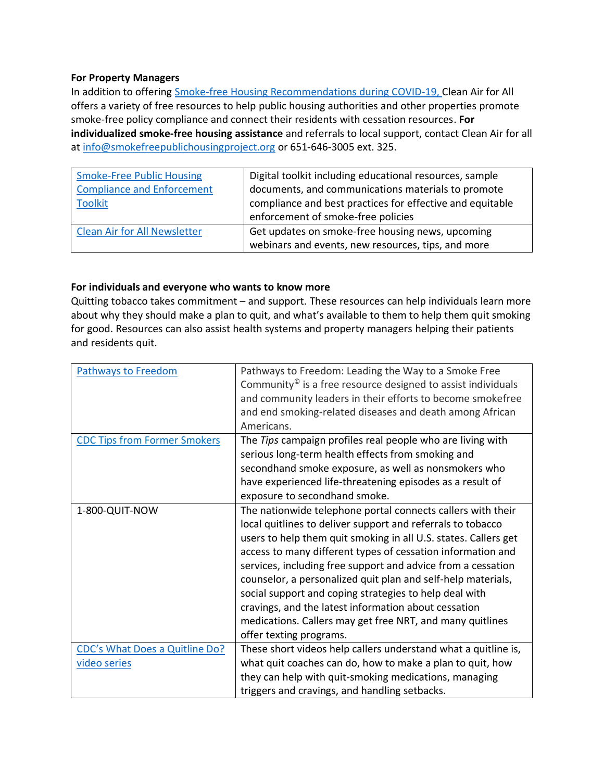#### **For Property Managers**

In addition to offering **Smoke-free Housing Recommendations during COVID-19, Clean Air for All** offers a variety of free resources to help public housing authorities and other properties promote smoke-free policy compliance and connect their residents with cessation resources. **For individualized smoke-free housing assistance** and referrals to local support, contact Clean Air for all at info@smokefreepublichousingproject.org or 651-646-3005 ext. 325.

| <b>Smoke-Free Public Housing</b><br><b>Compliance and Enforcement</b> | Digital toolkit including educational resources, sample<br>documents, and communications materials to promote |
|-----------------------------------------------------------------------|---------------------------------------------------------------------------------------------------------------|
| <b>Toolkit</b>                                                        | compliance and best practices for effective and equitable<br>enforcement of smoke-free policies               |
| <b>Clean Air for All Newsletter</b>                                   | Get updates on smoke-free housing news, upcoming<br>webinars and events, new resources, tips, and more        |

## **For individuals and everyone who wants to know more**

Quitting tobacco takes commitment – and support. These resources can help individuals learn more about why they should make a plan to quit, and what's available to them to help them quit smoking for good. Resources can also assist health systems and property managers helping their patients and residents quit.

| <b>Pathways to Freedom</b>                     | Pathways to Freedom: Leading the Way to a Smoke Free<br>Community <sup>®</sup> is a free resource designed to assist individuals<br>and community leaders in their efforts to become smokefree<br>and end smoking-related diseases and death among African<br>Americans.                                                                                                                                                                                                                                                                                                                               |
|------------------------------------------------|--------------------------------------------------------------------------------------------------------------------------------------------------------------------------------------------------------------------------------------------------------------------------------------------------------------------------------------------------------------------------------------------------------------------------------------------------------------------------------------------------------------------------------------------------------------------------------------------------------|
| <b>CDC Tips from Former Smokers</b>            | The Tips campaign profiles real people who are living with<br>serious long-term health effects from smoking and<br>secondhand smoke exposure, as well as nonsmokers who<br>have experienced life-threatening episodes as a result of<br>exposure to secondhand smoke.                                                                                                                                                                                                                                                                                                                                  |
| 1-800-QUIT-NOW                                 | The nationwide telephone portal connects callers with their<br>local quitlines to deliver support and referrals to tobacco<br>users to help them quit smoking in all U.S. states. Callers get<br>access to many different types of cessation information and<br>services, including free support and advice from a cessation<br>counselor, a personalized quit plan and self-help materials,<br>social support and coping strategies to help deal with<br>cravings, and the latest information about cessation<br>medications. Callers may get free NRT, and many quitlines<br>offer texting programs. |
| CDC's What Does a Quitline Do?<br>video series | These short videos help callers understand what a quitline is,<br>what quit coaches can do, how to make a plan to quit, how<br>they can help with quit-smoking medications, managing<br>triggers and cravings, and handling setbacks.                                                                                                                                                                                                                                                                                                                                                                  |